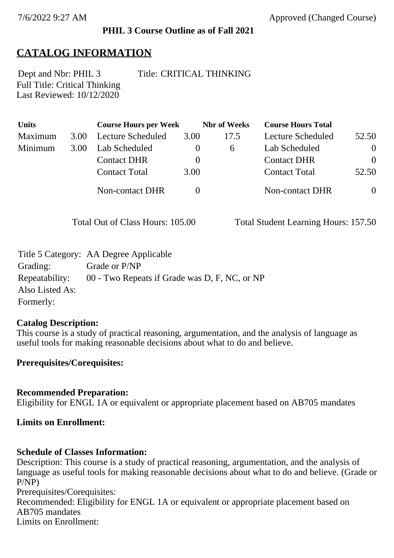#### **PHIL 3 Course Outline as of Fall 2021**

## **CATALOG INFORMATION**

Full Title: Critical Thinking Last Reviewed: 10/12/2020 Dept and Nbr: PHIL 3 Title: CRITICAL THINKING

| <b>Units</b> |      | <b>Course Hours per Week</b> |          | <b>Nbr</b> of Weeks | <b>Course Hours Total</b> |          |
|--------------|------|------------------------------|----------|---------------------|---------------------------|----------|
| Maximum      | 3.00 | Lecture Scheduled            | 3.00     | 17.5                | Lecture Scheduled         | 52.50    |
| Minimum      | 3.00 | Lab Scheduled                | $\theta$ | 6                   | Lab Scheduled             | $\theta$ |
|              |      | <b>Contact DHR</b>           | $\theta$ |                     | <b>Contact DHR</b>        | $\theta$ |
|              |      | <b>Contact Total</b>         | 3.00     |                     | <b>Contact Total</b>      | 52.50    |
|              |      | Non-contact DHR              |          |                     | <b>Non-contact DHR</b>    | $\theta$ |

Total Out of Class Hours: 105.00 Total Student Learning Hours: 157.50

|                 | Title 5 Category: AA Degree Applicable        |
|-----------------|-----------------------------------------------|
| Grading:        | Grade or P/NP                                 |
| Repeatability:  | 00 - Two Repeats if Grade was D, F, NC, or NP |
| Also Listed As: |                                               |
| Formerly:       |                                               |

#### **Catalog Description:**

This course is a study of practical reasoning, argumentation, and the analysis of language as useful tools for making reasonable decisions about what to do and believe.

#### **Prerequisites/Corequisites:**

## **Recommended Preparation:** Eligibility for ENGL 1A or equivalent or appropriate placement based on AB705 mandates

#### **Limits on Enrollment:**

#### **Schedule of Classes Information:**

Description: This course is a study of practical reasoning, argumentation, and the analysis of language as useful tools for making reasonable decisions about what to do and believe. (Grade or P/NP) Prerequisites/Corequisites:

Recommended: Eligibility for ENGL 1A or equivalent or appropriate placement based on AB705 mandates Limits on Enrollment: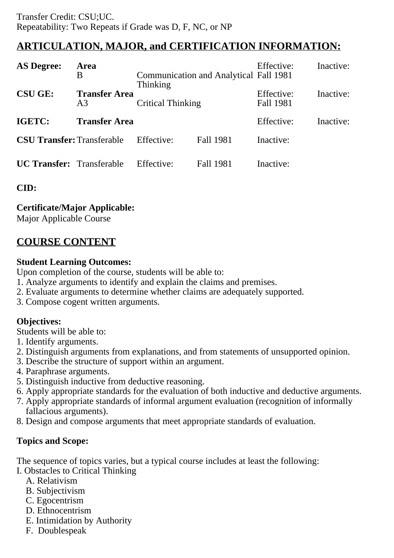# **ARTICULATION, MAJOR, and CERTIFICATION INFORMATION:**

| <b>AS Degree:</b>                 | Area<br>B                              | <b>Thinking</b>          | <b>Communication and Analytical Fall 1981</b> | Effective:              | Inactive: |
|-----------------------------------|----------------------------------------|--------------------------|-----------------------------------------------|-------------------------|-----------|
| <b>CSU GE:</b>                    | <b>Transfer Area</b><br>A <sub>3</sub> | <b>Critical Thinking</b> |                                               | Effective:<br>Fall 1981 | Inactive: |
| IGETC:                            | <b>Transfer Area</b>                   |                          |                                               | Effective:              | Inactive: |
| <b>CSU Transfer: Transferable</b> |                                        | Effective:               | Fall 1981                                     | Inactive:               |           |
| <b>UC Transfer:</b> Transferable  |                                        | Effective:               | Fall 1981                                     | Inactive:               |           |

**CID:**

## **Certificate/Major Applicable:**

[Major Applicable Course](SR_ClassCheck.aspx?CourseKey=PHIL3)

# **COURSE CONTENT**

## **Student Learning Outcomes:**

Upon completion of the course, students will be able to:

- 1. Analyze arguments to identify and explain the claims and premises.
- 2. Evaluate arguments to determine whether claims are adequately supported.
- 3. Compose cogent written arguments.

## **Objectives:**

Students will be able to:

- 1. Identify arguments.
- 2. Distinguish arguments from explanations, and from statements of unsupported opinion.
- 3. Describe the structure of support within an argument.
- 4. Paraphrase arguments.
- 5. Distinguish inductive from deductive reasoning.
- 6. Apply appropriate standards for the evaluation of both inductive and deductive arguments.
- 7. Apply appropriate standards of informal argument evaluation (recognition of informally fallacious arguments).
- 8. Design and compose arguments that meet appropriate standards of evaluation.

## **Topics and Scope:**

The sequence of topics varies, but a typical course includes at least the following:

- I. Obstacles to Critical Thinking
	- A. Relativism
	- B. Subjectivism
	- C. Egocentrism
	- D. Ethnocentrism
	- E. Intimidation by Authority
	- F. Doublespeak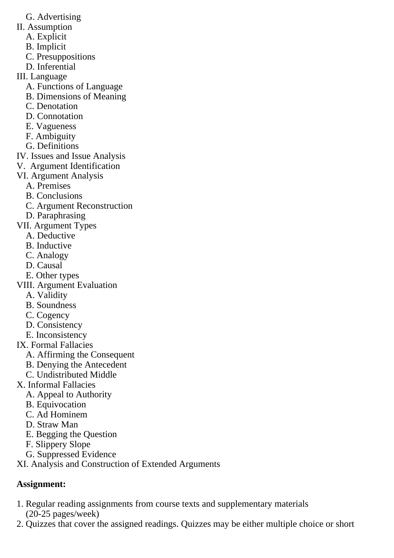- G. Advertising
- II. Assumption
	- A. Explicit
	- B. Implicit
	- C. Presuppositions
	- D. Inferential
- III. Language
	- A. Functions of Language
	- B. Dimensions of Meaning
	- C. Denotation
	- D. Connotation
	- E. Vagueness
	- F. Ambiguity
	- G. Definitions
- IV. Issues and Issue Analysis
- V. Argument Identification
- VI. Argument Analysis
	- A. Premises
	- B. Conclusions
	- C. Argument Reconstruction
	- D. Paraphrasing
- VII. Argument Types
	- A. Deductive
	- B. Inductive
	- C. Analogy
	- D. Causal
	- E. Other types
- VIII. Argument Evaluation
	- A. Validity
	- B. Soundness
	- C. Cogency
	- D. Consistency
	- E. Inconsistency
- IX. Formal Fallacies
	- A. Affirming the Consequent
	- B. Denying the Antecedent
	- C. Undistributed Middle
- X. Informal Fallacies
	- A. Appeal to Authority
	- B. Equivocation
	- C. Ad Hominem
	- D. Straw Man
	- E. Begging the Question
	- F. Slippery Slope
	- G. Suppressed Evidence
- XI. Analysis and Construction of Extended Arguments

# **Assignment:**

- 1. Regular reading assignments from course texts and supplementary materials (20-25 pages/week)
- 2. Quizzes that cover the assigned readings. Quizzes may be either multiple choice or short